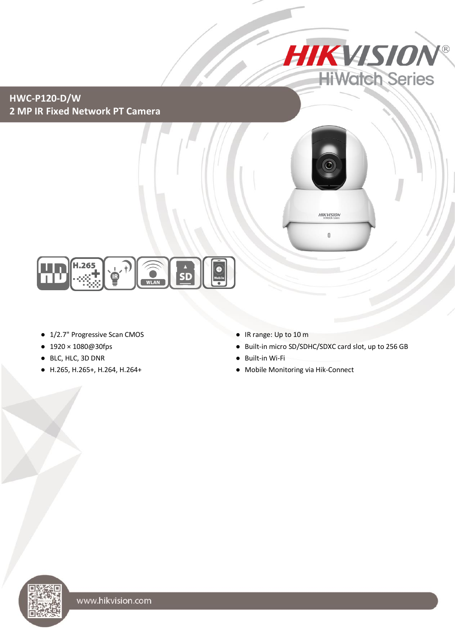

### **HWC-P120-D/W 2 MP IR Fixed Network PT Camera**





- 1/2.7" Progressive Scan CMOS
- 1920×1080@30fps
- BLC, HLC, 3D DNR
- H.265, H.265+, H.264, H.264+
- IR range: Up to 10 m
- Built-in micro SD/SDHC/SDXC card slot, up to 256 GB
- Built-in Wi-Fi
- Mobile Monitoring via Hik-Connect

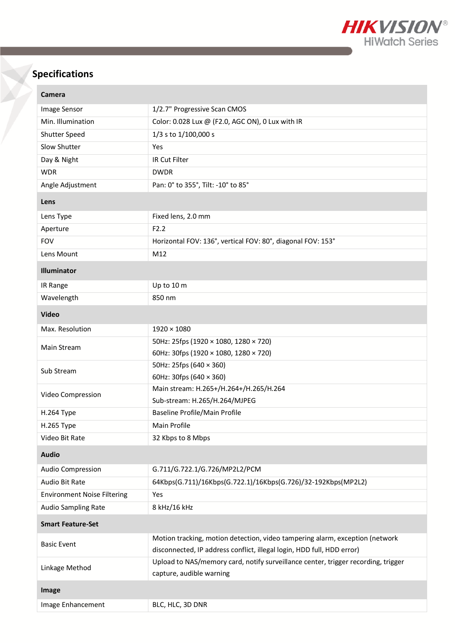

# **Specifications**

f.

| Camera                             |                                                                                                               |  |
|------------------------------------|---------------------------------------------------------------------------------------------------------------|--|
| Image Sensor                       | 1/2.7" Progressive Scan CMOS                                                                                  |  |
| Min. Illumination                  | Color: 0.028 Lux @ (F2.0, AGC ON), 0 Lux with IR                                                              |  |
| Shutter Speed                      | 1/3 s to 1/100,000 s                                                                                          |  |
| Slow Shutter                       | Yes                                                                                                           |  |
| Day & Night                        | IR Cut Filter                                                                                                 |  |
| <b>WDR</b>                         | <b>DWDR</b>                                                                                                   |  |
| Angle Adjustment                   | Pan: 0° to 355°, Tilt: -10° to 85°                                                                            |  |
| Lens                               |                                                                                                               |  |
| Lens Type                          | Fixed lens, 2.0 mm                                                                                            |  |
| Aperture                           | F2.2                                                                                                          |  |
| <b>FOV</b>                         | Horizontal FOV: 136°, vertical FOV: 80°, diagonal FOV: 153°                                                   |  |
| Lens Mount                         | M12                                                                                                           |  |
| <b>Illuminator</b>                 |                                                                                                               |  |
| IR Range                           | Up to 10 m                                                                                                    |  |
| Wavelength                         | 850 nm                                                                                                        |  |
| <b>Video</b>                       |                                                                                                               |  |
| Max. Resolution                    | $1920 \times 1080$                                                                                            |  |
| Main Stream                        | 50Hz: 25fps (1920 × 1080, 1280 × 720)                                                                         |  |
|                                    | 60Hz: 30fps (1920 × 1080, 1280 × 720)                                                                         |  |
| Sub Stream                         | 50Hz: 25fps (640 × 360)                                                                                       |  |
|                                    | 60Hz: 30fps (640 × 360)                                                                                       |  |
| Video Compression                  | Main stream: H.265+/H.264+/H.265/H.264                                                                        |  |
|                                    | Sub-stream: H.265/H.264/MJPEG                                                                                 |  |
| H.264 Type                         | Baseline Profile/Main Profile                                                                                 |  |
| H.265 Type                         | Main Profile                                                                                                  |  |
| Video Bit Rate                     | 32 Kbps to 8 Mbps                                                                                             |  |
| <b>Audio</b>                       |                                                                                                               |  |
| <b>Audio Compression</b>           | G.711/G.722.1/G.726/MP2L2/PCM                                                                                 |  |
| Audio Bit Rate                     | 64Kbps(G.711)/16Kbps(G.722.1)/16Kbps(G.726)/32-192Kbps(MP2L2)                                                 |  |
| <b>Environment Noise Filtering</b> | Yes                                                                                                           |  |
| <b>Audio Sampling Rate</b>         | 8 kHz/16 kHz                                                                                                  |  |
| <b>Smart Feature-Set</b>           |                                                                                                               |  |
| <b>Basic Event</b>                 | Motion tracking, motion detection, video tampering alarm, exception (network                                  |  |
|                                    | disconnected, IP address conflict, illegal login, HDD full, HDD error)                                        |  |
| Linkage Method                     | Upload to NAS/memory card, notify surveillance center, trigger recording, trigger<br>capture, audible warning |  |
| Image                              |                                                                                                               |  |
| Image Enhancement                  | BLC, HLC, 3D DNR                                                                                              |  |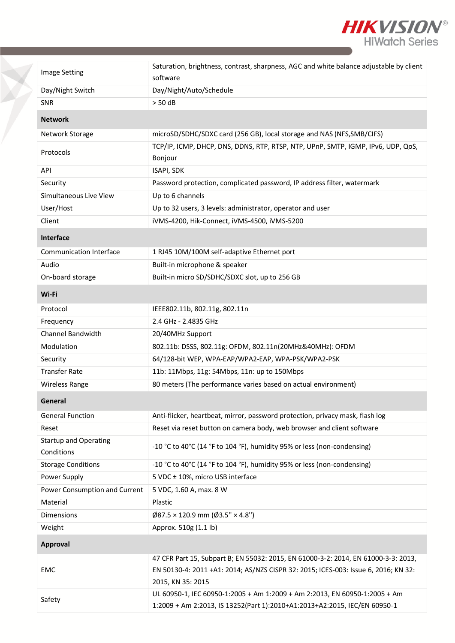

| <b>Image Setting</b>                       | Saturation, brightness, contrast, sharpness, AGC and white balance adjustable by client                 |  |
|--------------------------------------------|---------------------------------------------------------------------------------------------------------|--|
|                                            | software                                                                                                |  |
| Day/Night Switch                           | Day/Night/Auto/Schedule                                                                                 |  |
| <b>SNR</b>                                 | $> 50$ dB                                                                                               |  |
| <b>Network</b>                             |                                                                                                         |  |
| Network Storage                            | microSD/SDHC/SDXC card (256 GB), local storage and NAS (NFS, SMB/CIFS)                                  |  |
| Protocols                                  | TCP/IP, ICMP, DHCP, DNS, DDNS, RTP, RTSP, NTP, UPnP, SMTP, IGMP, IPv6, UDP, QoS,                        |  |
|                                            | Bonjour                                                                                                 |  |
| API                                        | ISAPI, SDK                                                                                              |  |
| Security                                   | Password protection, complicated password, IP address filter, watermark                                 |  |
| Simultaneous Live View                     | Up to 6 channels                                                                                        |  |
| User/Host                                  | Up to 32 users, 3 levels: administrator, operator and user                                              |  |
| Client                                     | iVMS-4200, Hik-Connect, iVMS-4500, iVMS-5200                                                            |  |
| Interface                                  |                                                                                                         |  |
| Communication Interface                    | 1 RJ45 10M/100M self-adaptive Ethernet port                                                             |  |
| Audio                                      | Built-in microphone & speaker                                                                           |  |
| On-board storage                           | Built-in micro SD/SDHC/SDXC slot, up to 256 GB                                                          |  |
| Wi-Fi                                      |                                                                                                         |  |
| Protocol                                   | IEEE802.11b, 802.11g, 802.11n                                                                           |  |
| Frequency                                  | 2.4 GHz - 2.4835 GHz                                                                                    |  |
| Channel Bandwidth                          | 20/40MHz Support                                                                                        |  |
| Modulation                                 | 802.11b: DSSS, 802.11g: OFDM, 802.11n(20MHz&40MHz): OFDM                                                |  |
| Security                                   | 64/128-bit WEP, WPA-EAP/WPA2-EAP, WPA-PSK/WPA2-PSK                                                      |  |
| <b>Transfer Rate</b>                       | 11b: 11Mbps, 11g: 54Mbps, 11n: up to 150Mbps                                                            |  |
| <b>Wireless Range</b>                      | 80 meters (The performance varies based on actual environment)                                          |  |
| General                                    |                                                                                                         |  |
| <b>General Function</b>                    | Anti-flicker, heartbeat, mirror, password protection, privacy mask, flash log                           |  |
| Reset                                      | Reset via reset button on camera body, web browser and client software                                  |  |
| <b>Startup and Operating</b><br>Conditions | -10 °C to 40°C (14 °F to 104 °F), humidity 95% or less (non-condensing)                                 |  |
| <b>Storage Conditions</b>                  | -10 °C to 40°C (14 °F to 104 °F), humidity 95% or less (non-condensing)                                 |  |
| Power Supply                               | 5 VDC ± 10%, micro USB interface                                                                        |  |
| Power Consumption and Current              | 5 VDC, 1.60 A, max. 8 W                                                                                 |  |
| Material                                   | Plastic                                                                                                 |  |
| <b>Dimensions</b>                          | $\emptyset$ 87.5 × 120.9 mm ( $\emptyset$ 3.5" × 4.8")                                                  |  |
| Weight                                     | Approx. 510g (1.1 lb)                                                                                   |  |
| Approval                                   |                                                                                                         |  |
|                                            | 47 CFR Part 15, Subpart B; EN 55032: 2015, EN 61000-3-2: 2014, EN 61000-3-3: 2013,                      |  |
| EMC                                        | EN 50130-4: 2011 +A1: 2014; AS/NZS CISPR 32: 2015; ICES-003: Issue 6, 2016; KN 32:<br>2015, KN 35: 2015 |  |
|                                            | UL 60950-1, IEC 60950-1:2005 + Am 1:2009 + Am 2:2013, EN 60950-1:2005 + Am                              |  |
| Safety                                     | 1:2009 + Am 2:2013, IS 13252(Part 1):2010+A1:2013+A2:2015, IEC/EN 60950-1                               |  |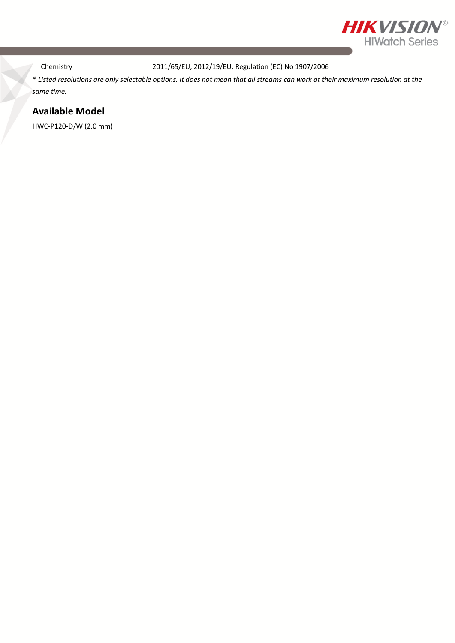

Chemistry 2011/65/EU, 2012/19/EU, Regulation (EC) No 1907/2006

*\* Listed resolutions are only selectable options. It does not mean that all streams can work at their maximum resolution at the same time.*

## **Available Model**

HWC-P120-D/W (2.0 mm)